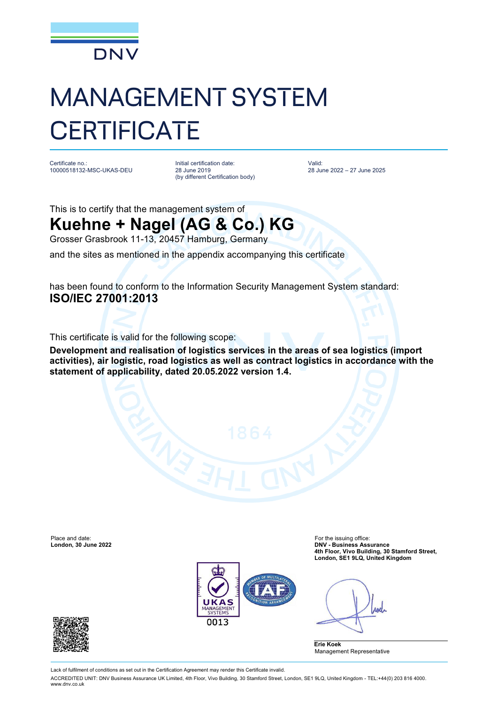

## MANAGEMENT SYSTEM **CERTIFICATE**

Certificate no.: 10000518132-MSC-UKAS-DEU

Initial certification date: 28 June 2019 (by different Certification body)

Valid: 28 June 2022 – 27 June 2025

## This is to certify that the management system of **Kuehne + Nagel (AG & Co.) KG**

Grosser Grasbrook 11-13, 20457 Hamburg, Germany

and the sites as mentioned in the appendix accompanying this certificate

has been found to conform to the Information Security Management System standard: **ISO/IEC 27001:2013**

This certificate is valid for the following scope:

**Development and realisation of logistics services in the areas of sea logistics (import activities), air logistic, road logistics as well as contract logistics in accordance with the statement of applicability, dated 20.05.2022 version 1.4.**



Place and date: For the issuing office: **London, 30 June 2022 DNV - Business Assurance 4th Floor, Vivo Building, 30 Stamford Street, London, SE1 9LQ, United Kingdom**

Ane





Lack of fulfilment of conditions as set out in the Certification Agreement may render this Certificate invalid.

ACCREDITED UNIT: DNV Business Assurance UK Limited, 4th Floor, Vivo Building, 30 Stamford Street, London, SE1 9LQ, United Kingdom - TEL:+44(0) 203 816 4000. [www.dnv.co.uk](http://www.dnv.co.uk)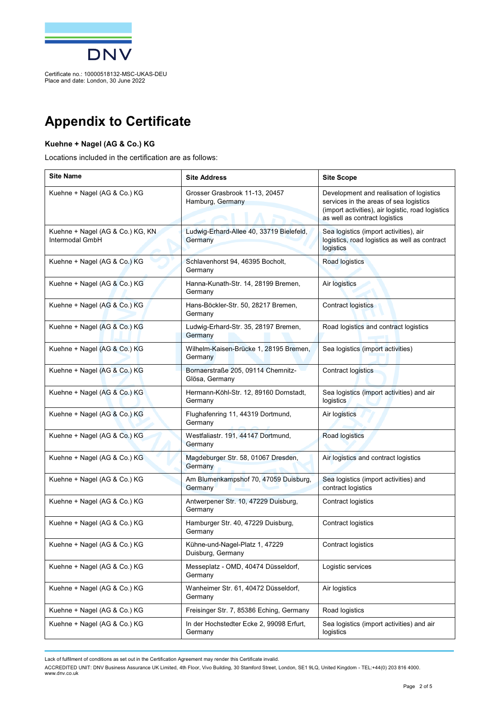

## **Appendix to Certificate**

## **Kuehne + Nagel (AG & Co.) KG**

Locations included in the certification are as follows:

| <b>Site Name</b>                                    | <b>Site Address</b>                                  | <b>Site Scope</b>                                                                                                                                                        |
|-----------------------------------------------------|------------------------------------------------------|--------------------------------------------------------------------------------------------------------------------------------------------------------------------------|
| Kuehne + Nagel (AG & Co.) KG                        | Grosser Grasbrook 11-13, 20457<br>Hamburg, Germany   | Development and realisation of logistics<br>services in the areas of sea logistics<br>(import activities), air logistic, road logistics<br>as well as contract logistics |
| Kuehne + Nagel (AG & Co.) KG, KN<br>Intermodal GmbH | Ludwig-Erhard-Allee 40, 33719 Bielefeld,<br>Germany  | Sea logistics (import activities), air<br>logistics, road logistics as well as contract<br>logistics                                                                     |
| Kuehne + Nagel (AG & Co.) KG                        | Schlavenhorst 94, 46395 Bocholt,<br>Germany          | Road logistics                                                                                                                                                           |
| Kuehne + Nagel (AG & Co.) KG                        | Hanna-Kunath-Str. 14, 28199 Bremen,<br>Germany       | Air logistics                                                                                                                                                            |
| Kuehne + Nagel (AG & Co.) KG                        | Hans-Böckler-Str. 50, 28217 Bremen,<br>Germany       | <b>Contract logistics</b>                                                                                                                                                |
| Kuehne + Nagel (AG & Co.) KG                        | Ludwig-Erhard-Str. 35, 28197 Bremen,<br>Germany      | Road logistics and contract logistics                                                                                                                                    |
| Kuehne + Nagel (AG & Co.) KG                        | Wilhelm-Kaisen-Brücke 1, 28195 Bremen,<br>Germany    | Sea logistics (import activities)                                                                                                                                        |
| Kuehne + Nagel (AG & Co.) KG                        | Bornaerstraße 205, 09114 Chemnitz-<br>Glösa, Germany | <b>Contract logistics</b>                                                                                                                                                |
| Kuehne + Nagel (AG & Co.) KG                        | Hermann-Köhl-Str. 12, 89160 Dornstadt,<br>Germany    | Sea logistics (import activities) and air<br>logistics                                                                                                                   |
| Kuehne + Nagel (AG & Co.) KG                        | Flughafenring 11, 44319 Dortmund,<br>Germany         | Air logistics                                                                                                                                                            |
| Kuehne + Nagel (AG & Co.) KG                        | Westfaliastr. 191, 44147 Dortmund,<br>Germany        | Road logistics                                                                                                                                                           |
| Kuehne + Nagel (AG & Co.) KG                        | Magdeburger Str. 58, 01067 Dresden,<br>Germany       | Air logistics and contract logistics                                                                                                                                     |
| Kuehne + Nagel (AG & Co.) KG                        | Am Blumenkampshof 70, 47059 Duisburg,<br>Germany     | Sea logistics (import activities) and<br>contract logistics                                                                                                              |
| Kuehne + Nagel (AG & Co.) KG                        | Antwerpener Str. 10, 47229 Duisburg,<br>Germany      | Contract logistics                                                                                                                                                       |
| Kuehne + Nagel (AG & Co.) KG                        | Hamburger Str. 40, 47229 Duisburg,<br>Germany        | Contract logistics                                                                                                                                                       |
| Kuehne + Nagel (AG & Co.) KG                        | Kühne-und-Nagel-Platz 1, 47229<br>Duisburg, Germany  | Contract logistics                                                                                                                                                       |
| Kuehne + Nagel (AG & Co.) KG                        | Messeplatz - OMD, 40474 Düsseldorf,<br>Germany       | Logistic services                                                                                                                                                        |
| Kuehne + Nagel (AG & Co.) KG                        | Wanheimer Str. 61, 40472 Düsseldorf,<br>Germany      | Air logistics                                                                                                                                                            |
| Kuehne + Nagel (AG & Co.) KG                        | Freisinger Str. 7, 85386 Eching, Germany             | Road logistics                                                                                                                                                           |
| Kuehne + Nagel (AG & Co.) KG                        | In der Hochstedter Ecke 2, 99098 Erfurt,<br>Germany  | Sea logistics (import activities) and air<br>logistics                                                                                                                   |

Lack of fulfilment of conditions as set out in the Certification Agreement may render this Certificate invalid.

ACCREDITED UNIT: DNV Business Assurance UK Limited, 4th Floor, Vivo Building, 30 Stamtord Street, London, SE1 9LQ, United Kingdom - TEL:+44(0) 203 816 4000.<br>[www.dnv.co.uk](http://www.dnv.co.uk)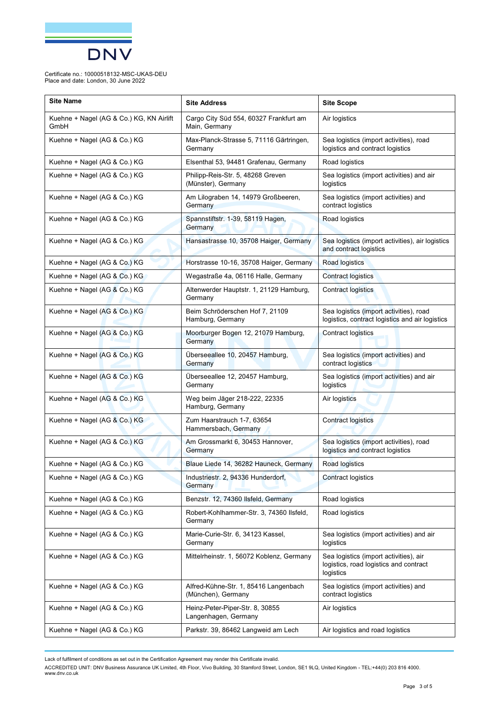

| <b>Site Name</b>                                 | <b>Site Address</b>                                         | <b>Site Scope</b>                                                                             |
|--------------------------------------------------|-------------------------------------------------------------|-----------------------------------------------------------------------------------------------|
| Kuehne + Nagel (AG & Co.) KG, KN Airlift<br>GmbH | Cargo City Süd 554, 60327 Frankfurt am<br>Main, Germany     | Air logistics                                                                                 |
| Kuehne + Nagel (AG & Co.) KG                     | Max-Planck-Strasse 5, 71116 Gärtringen,<br>Germany          | Sea logistics (import activities), road<br>logistics and contract logistics                   |
| Kuehne + Nagel (AG & Co.) KG                     | Elsenthal 53, 94481 Grafenau, Germany                       | Road logistics                                                                                |
| Kuehne + Nagel (AG & Co.) KG                     | Philipp-Reis-Str. 5, 48268 Greven<br>(Münster), Germany     | Sea logistics (import activities) and air<br>logistics                                        |
| Kuehne + Nagel (AG & Co.) KG                     | Am Lilograben 14, 14979 Großbeeren,<br>Germany              | Sea logistics (import activities) and<br>contract logistics                                   |
| Kuehne + Nagel (AG & Co.) KG                     | Spannstiftstr. 1-39, 58119 Hagen,<br>Germany                | Road logistics                                                                                |
| Kuehne + Nagel (AG & Co.) KG                     | Hansastrasse 10, 35708 Haiger, Germany                      | Sea logistics (import activities), air logistics<br>and contract logistics                    |
| Kuehne + Nagel (AG & Co.) KG                     | Horstrasse 10-16, 35708 Haiger, Germany                     | Road logistics                                                                                |
| Kuehne + Nagel (AG & Co.) KG                     | Wegastraße 4a, 06116 Halle, Germany                         | <b>Contract logistics</b>                                                                     |
| Kuehne + Nagel (AG & Co.) KG                     | Altenwerder Hauptstr. 1, 21129 Hamburg,<br>Germany          | <b>Contract logistics</b>                                                                     |
| Kuehne + Nagel (AG & Co.) KG                     | Beim Schröderschen Hof 7, 21109<br>Hamburg, Germany         | Sea logistics (import activities), road<br>logistics, contract logistics and air logistics    |
| Kuehne + Nagel (AG & Co.) KG                     | Moorburger Bogen 12, 21079 Hamburg,<br>Germany              | <b>Contract logistics</b>                                                                     |
| Kuehne + Nagel (AG & Co.) KG                     | Überseeallee 10, 20457 Hamburg,<br>Germany                  | Sea logistics (import activities) and<br>contract logistics                                   |
| Kuehne + Nagel (AG & Co.) KG                     | Überseeallee 12, 20457 Hamburg,<br>Germany                  | Sea logistics (import activities) and air<br>logistics                                        |
| Kuehne + Nagel (AG & Co.) KG                     | Weg beim Jäger 218-222, 22335<br>Hamburg, Germany           | Air logistics                                                                                 |
| Kuehne + Nagel (AG & Co.) KG                     | Zum Haarstrauch 1-7, 63654<br>Hammersbach, Germany          | <b>Contract logistics</b>                                                                     |
| Kuehne + Nagel (AG & Co.) KG                     | Am Grossmarkt 6, 30453 Hannover,<br>Germany                 | Sea logistics (import activities), road<br>logistics and contract logistics                   |
| Kuehne + Nagel (AG & Co.) KG                     | Blaue Liede 14, 36282 Hauneck, Germany                      | Road logistics                                                                                |
| Kuehne + Nagel (AG & Co.) KG                     | Industriestr. 2, 94336 Hunderdorf,<br>Germany               | <b>Contract logistics</b>                                                                     |
| Kuehne + Nagel (AG & Co.) KG                     | Benzstr. 12, 74360 Ilsfeld, Germany                         | Road logistics                                                                                |
| Kuehne + Nagel (AG & Co.) KG                     | Robert-Kohlhammer-Str. 3, 74360 Ilsfeld,<br>Germany         | Road logistics                                                                                |
| Kuehne + Nagel (AG & Co.) KG                     | Marie-Curie-Str. 6, 34123 Kassel,<br>Germany                | Sea logistics (import activities) and air<br>logistics                                        |
| Kuehne + Nagel (AG & Co.) KG                     | Mittelrheinstr. 1, 56072 Koblenz, Germany                   | Sea logistics (import activities), air<br>logistics, road logistics and contract<br>logistics |
| Kuehne + Nagel (AG & Co.) KG                     | Alfred-Kühne-Str. 1, 85416 Langenbach<br>(München), Germany | Sea logistics (import activities) and<br>contract logistics                                   |
| Kuehne + Nagel (AG & Co.) KG                     | Heinz-Peter-Piper-Str. 8, 30855<br>Langenhagen, Germany     | Air logistics                                                                                 |
| Kuehne + Nagel (AG & Co.) KG                     | Parkstr. 39, 86462 Langweid am Lech                         | Air logistics and road logistics                                                              |

Lack of fulfilment of conditions as set out in the Certification Agreement may render this Certificate invalid.

ACCREDITED UNIT: DNV Business Assurance UK Limited, 4th Floor, Vivo Building, 30 Stamtord Street, London, SE1 9LQ, United Kingdom - TEL:+44(0) 203 816 4000.<br>[www.dnv.co.uk](http://www.dnv.co.uk)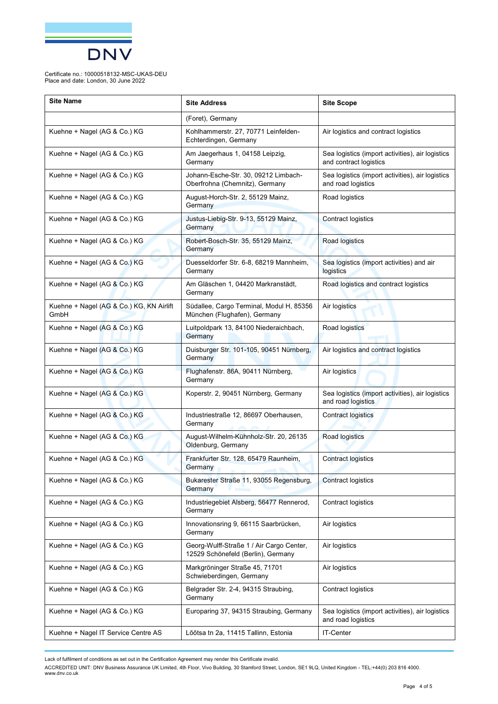

| <b>Site Name</b>                                 | <b>Site Address</b>                                                            | <b>Site Scope</b>                                                          |
|--------------------------------------------------|--------------------------------------------------------------------------------|----------------------------------------------------------------------------|
|                                                  | (Foret), Germany                                                               |                                                                            |
| Kuehne + Nagel (AG & Co.) KG                     | Kohlhammerstr. 27, 70771 Leinfelden-<br>Echterdingen, Germany                  | Air logistics and contract logistics                                       |
| Kuehne + Nagel (AG & Co.) KG                     | Am Jaegerhaus 1, 04158 Leipzig,<br>Germany                                     | Sea logistics (import activities), air logistics<br>and contract logistics |
| Kuehne + Nagel (AG & Co.) KG                     | Johann-Esche-Str. 30, 09212 Limbach-<br>Oberfrohna (Chemnitz), Germany         | Sea logistics (import activities), air logistics<br>and road logistics     |
| Kuehne + Nagel (AG & Co.) KG                     | August-Horch-Str. 2, 55129 Mainz,<br>Germany                                   | Road logistics                                                             |
| Kuehne + Nagel (AG & Co.) KG                     | Justus-Liebig-Str. 9-13, 55129 Mainz,<br>Germany                               | Contract logistics                                                         |
| Kuehne + Nagel (AG & Co.) KG                     | Robert-Bosch-Str. 35, 55129 Mainz,<br>Germany                                  | Road logistics                                                             |
| Kuehne + Nagel (AG & Co.) KG                     | Duesseldorfer Str. 6-8, 68219 Mannheim,<br>Germany                             | Sea logistics (import activities) and air<br>logistics                     |
| Kuehne + Nagel (AG & Co.) KG                     | Am Gläschen 1, 04420 Markranstädt,<br>Germany                                  | Road logistics and contract logistics                                      |
| Kuehne + Nagel (AG & Co.) KG, KN Airlift<br>GmbH | Südallee, Cargo Terminal, Modul H, 85356<br>München (Flughafen), Germany       | Air logistics                                                              |
| Kuehne + Nagel (AG & Co.) KG                     | Luitpoldpark 13, 84100 Niederaichbach,<br>Germany                              | Road logistics                                                             |
| Kuehne + Nagel (AG & Co.) KG                     | Duisburger Str. 101-105, 90451 Nürnberg,<br>Germany                            | Air logistics and contract logistics                                       |
| Kuehne + Nagel (AG & Co.) KG                     | Flughafenstr. 86A, 90411 Nürnberg,<br>Germany                                  | Air logistics                                                              |
| Kuehne + Nagel (AG & Co.) KG                     | Koperstr. 2, 90451 Nürnberg, Germany                                           | Sea logistics (import activities), air logistics<br>and road logistics     |
| Kuehne + Nagel (AG & Co.) KG                     | Industriestraße 12, 86697 Oberhausen,<br>Germany                               | <b>Contract logistics</b>                                                  |
| Kuehne + Nagel (AG & Co.) KG                     | August-Wilhelm-Kühnholz-Str. 20, 26135<br>Oldenburg, Germany                   | Road logistics                                                             |
| Kuehne + Nagel (AG & Co.) KG                     | Frankfurter Str. 128, 65479 Raunheim,<br>Germany                               | <b>Contract logistics</b>                                                  |
| Kuehne + Nagel (AG & Co.) KG                     | Bukarester Straße 11, 93055 Regensburg,<br>Germany                             | Contract logistics                                                         |
| Kuehne + Nagel (AG & Co.) KG                     | Industriegebiet Alsberg, 56477 Rennerod,<br>Germany                            | Contract logistics                                                         |
| Kuehne + Nagel (AG & Co.) KG                     | Innovationsring 9, 66115 Saarbrücken,<br>Germany                               | Air logistics                                                              |
| Kuehne + Nagel (AG & Co.) KG                     | Georg-Wulff-Straße 1 / Air Cargo Center,<br>12529 Schönefeld (Berlin), Germany | Air logistics                                                              |
| Kuehne + Nagel (AG & Co.) KG                     | Markgröninger Straße 45, 71701<br>Schwieberdingen, Germany                     | Air logistics                                                              |
| Kuehne + Nagel (AG & Co.) KG                     | Belgrader Str. 2-4, 94315 Straubing,<br>Germany                                | Contract logistics                                                         |
| Kuehne + Nagel (AG & Co.) KG                     | Europaring 37, 94315 Straubing, Germany                                        | Sea logistics (import activities), air logistics<br>and road logistics     |
| Kuehne + Nagel IT Service Centre AS              | Lõõtsa tn 2a, 11415 Tallinn, Estonia                                           | IT-Center                                                                  |

Lack of fulfilment of conditions as set out in the Certification Agreement may render this Certificate invalid.

ACCREDITED UNIT: DNV Business Assurance UK Limited, 4th Floor, Vivo Building, 30 Stamtord Street, London, SE1 9LQ, United Kingdom - TEL:+44(0) 203 816 4000.<br>[www.dnv.co.uk](http://www.dnv.co.uk)